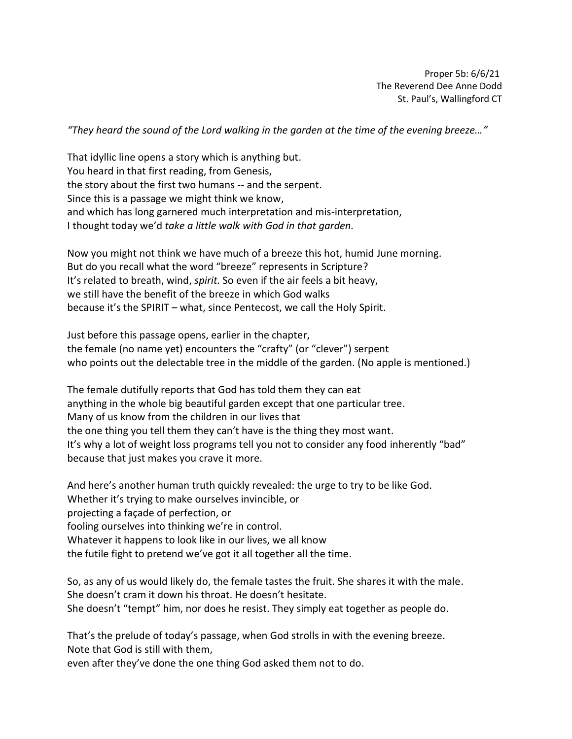Proper 5b: 6/6/21 The Reverend Dee Anne Dodd St. Paul's, Wallingford CT

*"They heard the sound of the Lord walking in the garden at the time of the evening breeze…"*

That idyllic line opens a story which is anything but. You heard in that first reading, from Genesis, the story about the first two humans -- and the serpent. Since this is a passage we might think we know, and which has long garnered much interpretation and mis-interpretation, I thought today we'd *take a little walk with God in that garden.*

Now you might not think we have much of a breeze this hot, humid June morning. But do you recall what the word "breeze" represents in Scripture? It's related to breath, wind, *spirit.* So even if the air feels a bit heavy, we still have the benefit of the breeze in which God walks because it's the SPIRIT – what, since Pentecost, we call the Holy Spirit.

Just before this passage opens, earlier in the chapter, the female (no name yet) encounters the "crafty" (or "clever") serpent who points out the delectable tree in the middle of the garden. (No apple is mentioned.)

The female dutifully reports that God has told them they can eat anything in the whole big beautiful garden except that one particular tree. Many of us know from the children in our lives that the one thing you tell them they can't have is the thing they most want. It's why a lot of weight loss programs tell you not to consider any food inherently "bad" because that just makes you crave it more.

And here's another human truth quickly revealed: the urge to try to be like God. Whether it's trying to make ourselves invincible, or projecting a façade of perfection, or fooling ourselves into thinking we're in control. Whatever it happens to look like in our lives, we all know the futile fight to pretend we've got it all together all the time.

So, as any of us would likely do, the female tastes the fruit. She shares it with the male. She doesn't cram it down his throat. He doesn't hesitate. She doesn't "tempt" him, nor does he resist. They simply eat together as people do.

That's the prelude of today's passage, when God strolls in with the evening breeze. Note that God is still with them,

even after they've done the one thing God asked them not to do.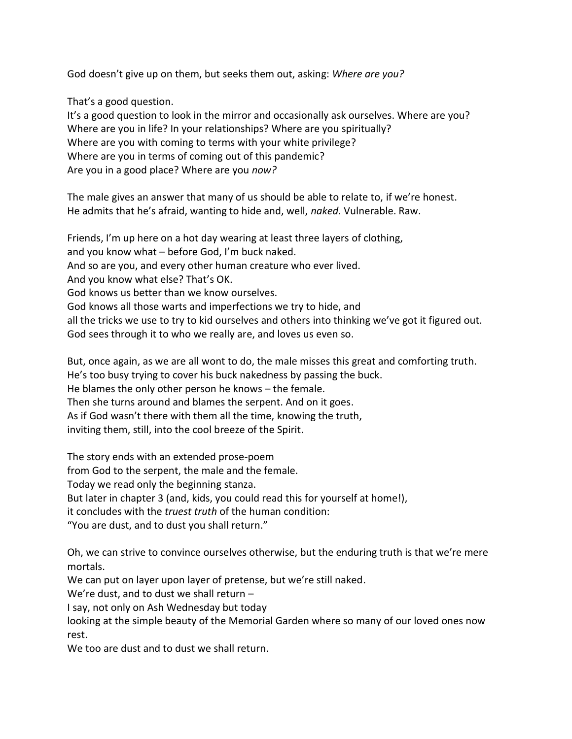God doesn't give up on them, but seeks them out, asking: *Where are you?*

That's a good question.

It's a good question to look in the mirror and occasionally ask ourselves. Where are you? Where are you in life? In your relationships? Where are you spiritually? Where are you with coming to terms with your white privilege? Where are you in terms of coming out of this pandemic? Are you in a good place? Where are you *now?*

The male gives an answer that many of us should be able to relate to, if we're honest. He admits that he's afraid, wanting to hide and, well, *naked.* Vulnerable. Raw.

Friends, I'm up here on a hot day wearing at least three layers of clothing, and you know what – before God, I'm buck naked. And so are you, and every other human creature who ever lived. And you know what else? That's OK. God knows us better than we know ourselves. God knows all those warts and imperfections we try to hide, and all the tricks we use to try to kid ourselves and others into thinking we've got it figured out. God sees through it to who we really are, and loves us even so.

But, once again, as we are all wont to do, the male misses this great and comforting truth. He's too busy trying to cover his buck nakedness by passing the buck. He blames the only other person he knows – the female. Then she turns around and blames the serpent. And on it goes. As if God wasn't there with them all the time, knowing the truth, inviting them, still, into the cool breeze of the Spirit.

The story ends with an extended prose-poem

from God to the serpent, the male and the female.

Today we read only the beginning stanza.

But later in chapter 3 (and, kids, you could read this for yourself at home!),

it concludes with the *truest truth* of the human condition:

"You are dust, and to dust you shall return."

Oh, we can strive to convince ourselves otherwise, but the enduring truth is that we're mere mortals.

We can put on layer upon layer of pretense, but we're still naked.

We're dust, and to dust we shall return –

I say, not only on Ash Wednesday but today

looking at the simple beauty of the Memorial Garden where so many of our loved ones now rest.

We too are dust and to dust we shall return.